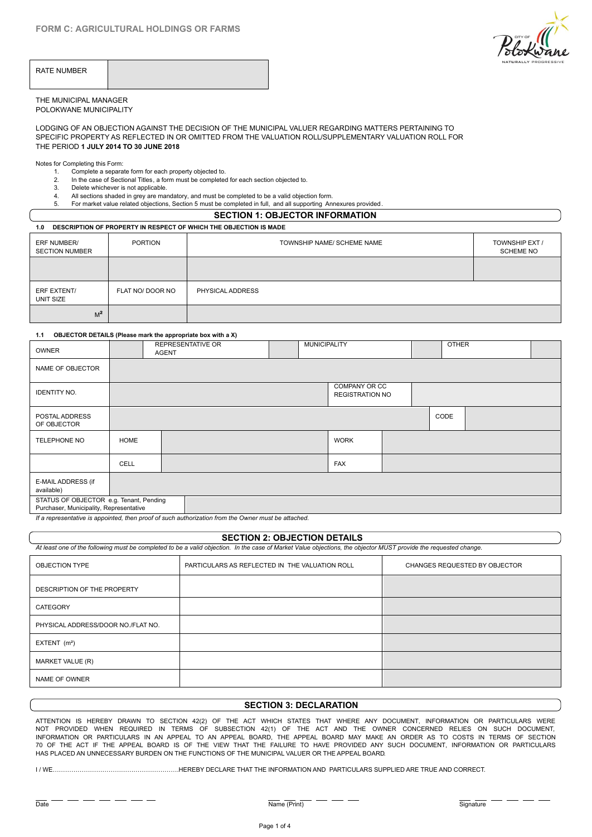

| RATE NUMBER |  |
|-------------|--|
|-------------|--|

#### THE MUNICIPAL MANAGER POLOKWANE MUNICIPALITY

LODGING OF AN OBJECTION AGAINST THE DECISION OF THE MUNICIPAL VALUER REGARDING MATTERS PERTAINING TO SPECIFIC PROPERTY AS REFLECTED IN OR OMITTED FROM THE VALUATION ROLL/SUPPLEMENTARY VALUATION ROLL FOR THE PERIOD **1 JULY 2014 TO 30 JUNE 2018** MUNICIPAL MANAGER<br>
IMMUNICIPALITY<br>
1. Complete a separate form for each property objected to.<br>
1. Completing this Form:<br>
1. Completing this Form:<br>
1. Completing this Form:<br>
1. Complete a separate form for each property obj MUNICIPAL MANAGER<br>2. IN THE DECTION AGAINST THE DECISION OF THE MUNICIPAL VALUER REGAINED AND ANNOT THE DECISION OF THE MUNICIPAL VALUER REGAINED IFIC PROPERTY AS REFLECTED IN OR OMITTED FROM THE VALUATION ROLL/SUPP<br>2. In 3. Delete whichever is not applicable.<br>3. Delete which applicable which applicable which applicable. The MUNICIPAL VALUER REGARDING NOTICLE PROPERTY AS REFLECTED IN OR OMITTED FROM THE VALUATION ROLL/SUPPLEMEN<br>1. Completin SECTION OF PROPERTY AS REFLECTED IN OR OMITTED FROM THE MUNICIPAL VALUER REGARDING MATTERS PERTURN THE VERTURN AND THE VALUATION ROLL/SUPPLEMENTARY VALUATION FOR MORE VALUATION 1 JULY 2014 TO 30 JUNE 2018<br>
Solve Completing

Notes for Completing this Form:

- 
- 
- 

## **SECTION 1: OBJECTOR INFORMATION**

#### **1.0 DESCRIPTION OF PROPERTY IN RESPECT OF WHICH THE OBJECTION IS MADE**

| ERF NUMBER/<br><b>SECTION NUMBER</b> | <b>PORTION</b>                                              |                   | TOWNSHIP NAME/ SCHEME NAME |              | TOWNSHIP EXT /<br><b>SCHEME NO</b> |  |
|--------------------------------------|-------------------------------------------------------------|-------------------|----------------------------|--------------|------------------------------------|--|
|                                      |                                                             |                   |                            |              |                                    |  |
| ERF EXTENT/<br>UNIT SIZE             | FLAT NO/ DOOR NO                                            | PHYSICAL ADDRESS  |                            |              |                                    |  |
| $M^2$                                |                                                             |                   |                            |              |                                    |  |
| 1.1                                  | OBJECTOR DETAILS (Please mark the appropriate box with a X) |                   |                            |              |                                    |  |
| <b>OWNER</b>                         | <b>AGENT</b>                                                | REPRESENTATIVE OR | <b>MUNICIPALITY</b>        | <b>OTHER</b> |                                    |  |

| <b>OWNER</b>                                                                       |             | <b>REPRESENTATIVE OR</b><br>AGENT                                                               | <b>MUNICIPALITY</b> |                                         |  | <b>OTHER</b> |  |
|------------------------------------------------------------------------------------|-------------|-------------------------------------------------------------------------------------------------|---------------------|-----------------------------------------|--|--------------|--|
| NAME OF OBJECTOR                                                                   |             |                                                                                                 |                     |                                         |  |              |  |
| <b>IDENTITY NO.</b>                                                                |             |                                                                                                 |                     | COMPANY OR CC<br><b>REGISTRATION NO</b> |  |              |  |
| POSTAL ADDRESS<br>OF OBJECTOR                                                      |             |                                                                                                 |                     |                                         |  | CODE         |  |
| TELEPHONE NO                                                                       | <b>HOME</b> |                                                                                                 |                     | <b>WORK</b>                             |  |              |  |
|                                                                                    | CELL        |                                                                                                 |                     | FAX                                     |  |              |  |
| E-MAIL ADDRESS (if<br>available)                                                   |             |                                                                                                 |                     |                                         |  |              |  |
| STATUS OF OBJECTOR e.g. Tenant, Pending<br>Purchaser, Municipality, Representative |             | If a monocontative is annotated then nood of graph subscription from the Orman must be attended |                     |                                         |  |              |  |

*If a representative is appointed, then proof of such authorization from the Owner must be attached.*

#### **SECTION 2: OBJECTION DETAILS**

*At least one of the following must be completed to be a valid objection. In the case of Market Value objections, the objector MUST provide the requested change.*

| <b>OBJECTION TYPE</b>              | PARTICULARS AS REFLECTED IN THE VALUATION ROLL | CHANGES REQUESTED BY OBJECTOR |
|------------------------------------|------------------------------------------------|-------------------------------|
| DESCRIPTION OF THE PROPERTY        |                                                |                               |
| CATEGORY                           |                                                |                               |
| PHYSICAL ADDRESS/DOOR NO./FLAT NO. |                                                |                               |
| EXTENT $(m2)$                      |                                                |                               |
| MARKET VALUE (R)                   |                                                |                               |
| NAME OF OWNER                      |                                                |                               |

## **SECTION 3: DECLARATION**

ATTENTION IS HEREBY DRAWN TO SECTION 42(2) OF THE ACT WHICH STATES THAT WHERE ANY DOCUMENT, INFORMATION OR PARTICULARS WERE NOT PROVIDED WHEN REQUIRED IN TERMS OF SUBSECTION 42(1) OF THE ACT AND THE OWNER CONCERNED RELIES ON SUCH DOCUMENT, INFORMATION OR PARTICULARS IN AN APPEAL TO AN APPEAL BOARD, THE APPEAL BOARD MAY MAKE AN ORDER AS TO COSTS IN TERMS OF SECTION 70 OF THE ACT IF THE APPEAL BOARD IS OF THE VIEW THAT THE FAILURE TO HAVE PROVIDED ANY SUCH DOCUMENT, INFORMATION OR PARTICULARS HAS PLACED AN UNNECESSARY BURDEN ON THE FUNCTIONS OF THE MUNICIPAL VALUER OR THE APPEAL BOARD.

I / WE…………………………………………………….HEREBY DECLARE THAT THE INFORMATION AND PARTICULARS SUPPLIED ARE TRUE AND CORRECT.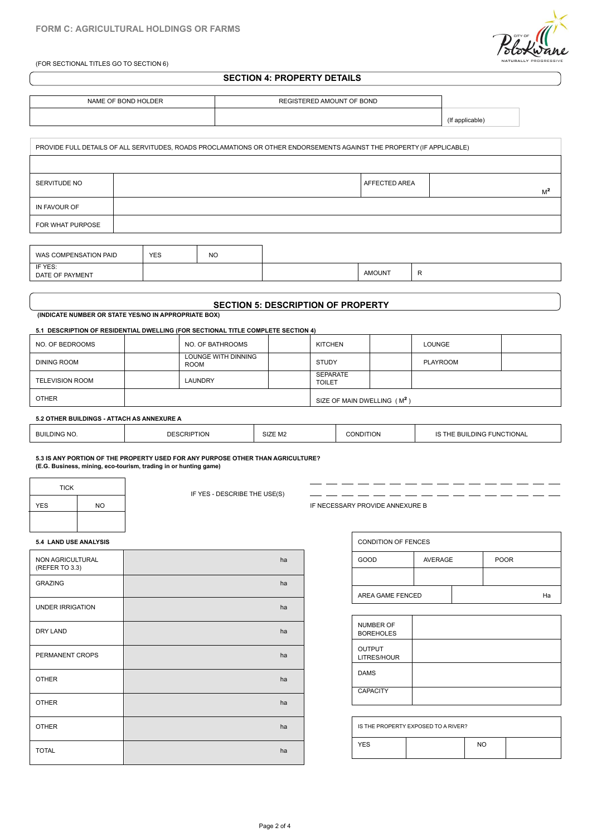(FOR SECTIONAL TITLES GO TO SECTION 6)



### **SECTION 4: PROPERTY DETAILS**

| NAME OF BOND HOLDER | REGISTERED AMOUNT OF BOND |             |
|---------------------|---------------------------|-------------|
|                     |                           | inniranic i |

|                            |            |           | PROVIDE FULL DETAILS OF ALL SERVITUDES, ROADS PROCLAMATIONS OR OTHER ENDORSEMENTS AGAINST THE PROPERTY (IF APPLICABLE) |               |       |
|----------------------------|------------|-----------|------------------------------------------------------------------------------------------------------------------------|---------------|-------|
|                            |            |           |                                                                                                                        |               |       |
| SERVITUDE NO               |            |           |                                                                                                                        | AFFECTED AREA | $M^2$ |
| IN FAVOUR OF               |            |           |                                                                                                                        |               |       |
| FOR WHAT PURPOSE           |            |           |                                                                                                                        |               |       |
|                            |            |           |                                                                                                                        |               |       |
| WAS COMPENSATION PAID      | <b>YES</b> | <b>NO</b> |                                                                                                                        |               |       |
| IF YES:<br>DATE OF PAYMENT |            |           |                                                                                                                        | <b>AMOUNT</b> | R.    |
|                            |            |           |                                                                                                                        |               |       |

| OMPENSATION PAID<br>WAS                        | YES<br>$\sim$ | NO |                                            |  |
|------------------------------------------------|---------------|----|--------------------------------------------|--|
| 'F YES:<br><b>DAVAIDAIT</b><br>DATE OF<br>MENI |               |    | AMOUN <sub>1</sub><br>$\sim$ $\sim$ $\sim$ |  |
|                                                |               |    |                                            |  |

## **SECTION 5: DESCRIPTION OF PROPERTY**

 **(INDICATE NUMBER OR STATE YES/NO IN APPROPRIATE BOX)**

### **5.1 DESCRIPTION OF RESIDENTIAL DWELLING (FOR SECTIONAL TITLE COMPLETE SECTION 4)**

| NO. OF BEDROOMS        | NO. OF BATHROOMS                   | <b>KITCHEN</b>                          | LOUNGE   |  |
|------------------------|------------------------------------|-----------------------------------------|----------|--|
| DINING ROOM            | LOUNGE WITH DINNING<br><b>ROOM</b> | <b>STUDY</b>                            | PLAYROOM |  |
| <b>TELEVISION ROOM</b> | LAUNDRY                            | <b>SEPARATE</b><br><b>TOILET</b>        |          |  |
| <b>OTHER</b>           |                                    | SIZE OF MAIN DWELLING (M <sup>2</sup> ) |          |  |

#### **5.2 OTHER BUILDINGS - ATTACH AS ANNEXURE A**

| SIZE M <sub>2</sub><br><b>BUILDING NO.</b><br><b>BUILDING FUNCTIONAL</b><br>20127<br>. IOF<br><b>IFS</b><br>жıн.<br>. IUIV |
|----------------------------------------------------------------------------------------------------------------------------|
|----------------------------------------------------------------------------------------------------------------------------|

#### **5.3 IS ANY PORTION OF THE PROPERTY USED FOR ANY PURPOSE OTHER THAN AGRICULTURE? (E.G. Business, mining, eco-tourism, trading in or hunting game)**

| <b>TICK</b> |           |
|-------------|-----------|
| <b>YES</b>  | <b>NO</b> |
|             |           |

IF YES - DESCRIBE THE USE(S)

IF NECESSARY PROVIDE ANNEXURE B

 $\overline{\phantom{a}}$  $-$ 

- -- -- -- -- -- -- -

#### **5.4 LAND USE ANALYSIS**

| NON AGRICULTURAL<br>(REFER TO 3.3) | ha |  |
|------------------------------------|----|--|
| <b>GRAZING</b>                     | ha |  |
| <b>UNDER IRRIGATION</b>            | ha |  |
| DRY LAND                           | ha |  |
| PERMANENT CROPS                    | ha |  |
| <b>OTHER</b>                       | ha |  |
| <b>OTHER</b>                       | ha |  |
| <b>OTHER</b>                       | ha |  |
| <b>TOTAL</b>                       | ha |  |

| <b>CONDITION OF FENCES</b> |                |  |             |    |  |
|----------------------------|----------------|--|-------------|----|--|
| GOOD                       | <b>AVERAGE</b> |  | <b>POOR</b> |    |  |
|                            |                |  |             |    |  |
| AREA GAME FENCED           |                |  |             | Ha |  |

- -- -- -- -- -- -

 $\overline{a}$ 

| NUMBER OF<br><b>BOREHOLES</b> |  |
|-------------------------------|--|
| <b>OUTPUT</b><br>LITRES/HOUR  |  |
| <b>DAMS</b>                   |  |
| <b>CAPACITY</b>               |  |

|            | IS THE PROPERTY EXPOSED TO A RIVER? |     |  |
|------------|-------------------------------------|-----|--|
| <b>YES</b> |                                     | NO. |  |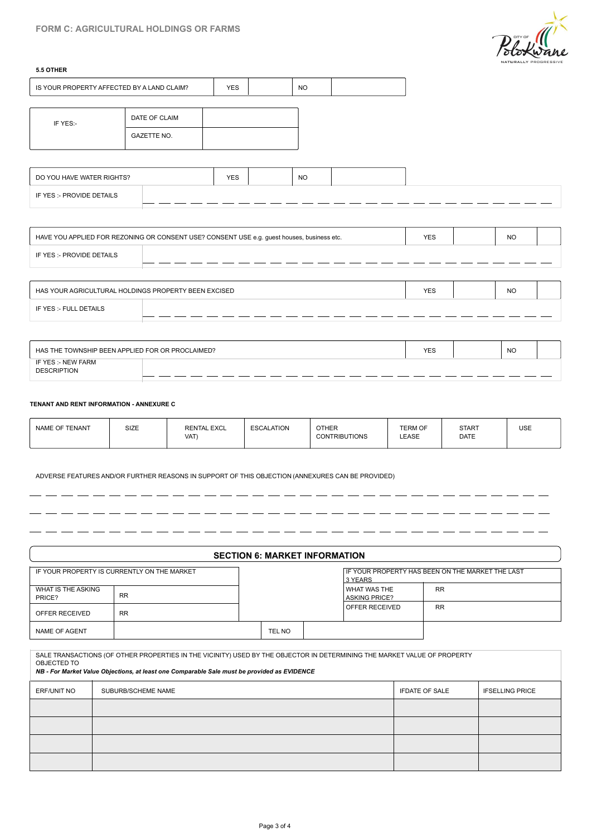

 $\overline{a}$  $\overline{a}$  $\overline{a}$  - -

 $-$ 

 $\overline{a}$  $\overline{a}$ 

 $\overline{\phantom{a}}$ - 1  $\overline{a}$  $\sim$  $\overline{\phantom{0}}$ 

|                                                         |                                                                                            |            |           |            | <i><b>Stoxwane</b></i><br>NATURALLY PROGRESSIVE |  |
|---------------------------------------------------------|--------------------------------------------------------------------------------------------|------------|-----------|------------|-------------------------------------------------|--|
| 5.5 OTHER<br>IS YOUR PROPERTY AFFECTED BY A LAND CLAIM? |                                                                                            | <b>YES</b> | <b>NO</b> |            |                                                 |  |
|                                                         | DATE OF CLAIM                                                                              |            |           |            |                                                 |  |
| IF YES:-                                                | <b>GAZETTE NO.</b>                                                                         |            |           |            |                                                 |  |
|                                                         |                                                                                            |            |           |            |                                                 |  |
| DO YOU HAVE WATER RIGHTS?                               |                                                                                            | <b>YES</b> | <b>NO</b> |            |                                                 |  |
| IF YES :- PROVIDE DETAILS                               |                                                                                            |            |           |            |                                                 |  |
|                                                         |                                                                                            |            |           |            |                                                 |  |
|                                                         | HAVE YOU APPLIED FOR REZONING OR CONSENT USE? CONSENT USE e.g. guest houses, business etc. |            |           | <b>YES</b> | <b>NO</b>                                       |  |
| IF YES :- PROVIDE DETAILS                               |                                                                                            |            |           |            |                                                 |  |
|                                                         |                                                                                            |            |           |            |                                                 |  |
|                                                         | HAS YOUR AGRICULTURAL HOLDINGS PROPERTY BEEN EXCISED                                       |            |           | <b>YES</b> | <b>NO</b>                                       |  |
| IF YES :- FULL DETAILS                                  |                                                                                            |            |           |            |                                                 |  |
|                                                         |                                                                                            |            |           |            |                                                 |  |
|                                                         | HAS THE TOWNSHIP BEEN APPLIED FOR OR PROCLAIMED?                                           |            |           | <b>YES</b> | <b>NO</b>                                       |  |

#### **TENANT AND RENT INFORMATION - ANNEXURE C**

| HAS THE TOWNSHIP BEEN APPLIED FOR OR PROCLAIMED? |  |  | <b>YES</b> | <b>NO</b> |  |
|--------------------------------------------------|--|--|------------|-----------|--|
| IF YES :- NEW FARM<br><b>DESCRIPTION</b>         |  |  |            |           |  |
|                                                  |  |  |            |           |  |
| TENANT AND RENT INFORMATION - ANNEXURE C         |  |  |            |           |  |

 $\overline{\phantom{a}}$  $\overline{a}$ 

 $-$ 

 $-$ - -

ADVERSE FEATURES AND/OR FURTHER REASONS IN SUPPORT OF THIS OBJECTION (ANNEXURES CAN BE PROVIDED)

#### **SECTION 6: MARKET INFORMATION**

|                              | IF YOUR PROPERTY IS CURRENTLY ON THE MARKET |        | 3 YEARS                                | IF YOUR PROPERTY HAS BEEN ON THE MARKET THE LAST |
|------------------------------|---------------------------------------------|--------|----------------------------------------|--------------------------------------------------|
| WHAT IS THE ASKING<br>PRICE? | <b>RR</b>                                   |        | I WHAT WAS THE<br><b>ASKING PRICE?</b> | <b>RR</b>                                        |
| OFFER RECEIVED               | <b>RR</b>                                   |        | OFFER RECEIVED                         | <b>RR</b>                                        |
| NAME OF AGENT                |                                             | TEL NO |                                        |                                                  |

SALE TRANSACTIONS (OF OTHER PROPERTIES IN THE VICINITY) USED BY THE OBJECTOR IN DETERMINING THE MARKET VALUE OF PROPERTY OBJECTED TO *NB - For Market Value Objections, at least one Comparable Sale must be provided as EVIDENCE* PRICE?<br>
SOFFER RECEIVED<br>
NAME OF AGENT<br>
SALE TRANSACTIONS (OF OTHER PROPERTIES IN THE VICINITY) USED BY THE OBJECTOR IN DETERMINING THE MARKET VALUE OF PROPERTY<br>
OBJECTED TO<br>
OBJECTED TO<br>
ERF/UNIT NO SUBURB/SCHEME NAME<br>
SU